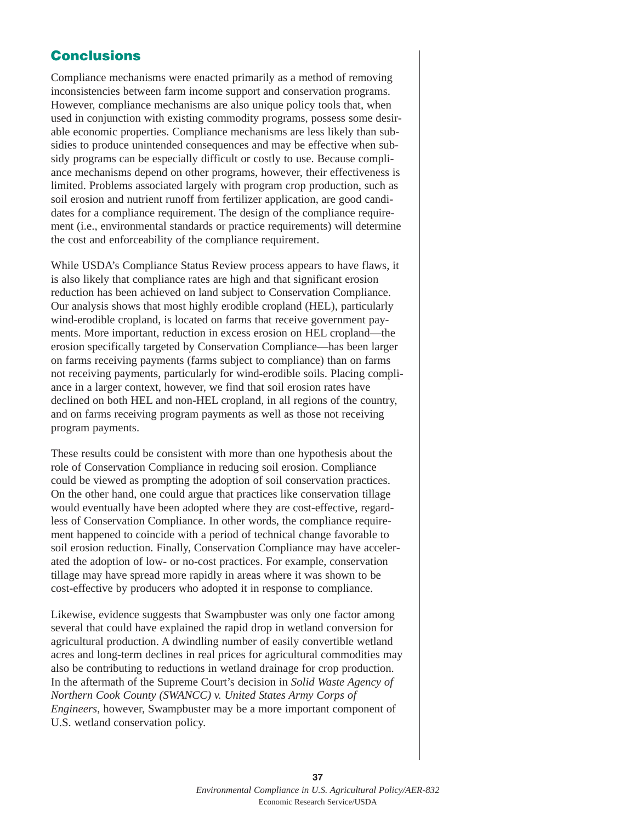## **Conclusions**

Compliance mechanisms were enacted primarily as a method of removing inconsistencies between farm income support and conservation programs. However, compliance mechanisms are also unique policy tools that, when used in conjunction with existing commodity programs, possess some desirable economic properties. Compliance mechanisms are less likely than subsidies to produce unintended consequences and may be effective when subsidy programs can be especially difficult or costly to use. Because compliance mechanisms depend on other programs, however, their effectiveness is limited. Problems associated largely with program crop production, such as soil erosion and nutrient runoff from fertilizer application, are good candidates for a compliance requirement. The design of the compliance requirement (i.e., environmental standards or practice requirements) will determine the cost and enforceability of the compliance requirement.

While USDA's Compliance Status Review process appears to have flaws, it is also likely that compliance rates are high and that significant erosion reduction has been achieved on land subject to Conservation Compliance. Our analysis shows that most highly erodible cropland (HEL), particularly wind-erodible cropland, is located on farms that receive government payments. More important, reduction in excess erosion on HEL cropland—the erosion specifically targeted by Conservation Compliance—has been larger on farms receiving payments (farms subject to compliance) than on farms not receiving payments, particularly for wind-erodible soils. Placing compliance in a larger context, however, we find that soil erosion rates have declined on both HEL and non-HEL cropland, in all regions of the country, and on farms receiving program payments as well as those not receiving program payments.

These results could be consistent with more than one hypothesis about the role of Conservation Compliance in reducing soil erosion. Compliance could be viewed as prompting the adoption of soil conservation practices. On the other hand, one could argue that practices like conservation tillage would eventually have been adopted where they are cost-effective, regardless of Conservation Compliance. In other words, the compliance requirement happened to coincide with a period of technical change favorable to soil erosion reduction. Finally, Conservation Compliance may have accelerated the adoption of low- or no-cost practices. For example, conservation tillage may have spread more rapidly in areas where it was shown to be cost-effective by producers who adopted it in response to compliance.

Likewise, evidence suggests that Swampbuster was only one factor among several that could have explained the rapid drop in wetland conversion for agricultural production. A dwindling number of easily convertible wetland acres and long-term declines in real prices for agricultural commodities may also be contributing to reductions in wetland drainage for crop production. In the aftermath of the Supreme Court's decision in *Solid Waste Agency of Northern Cook County (SWANCC) v. United States Army Corps of Engineers*, however, Swampbuster may be a more important component of U.S. wetland conservation policy.